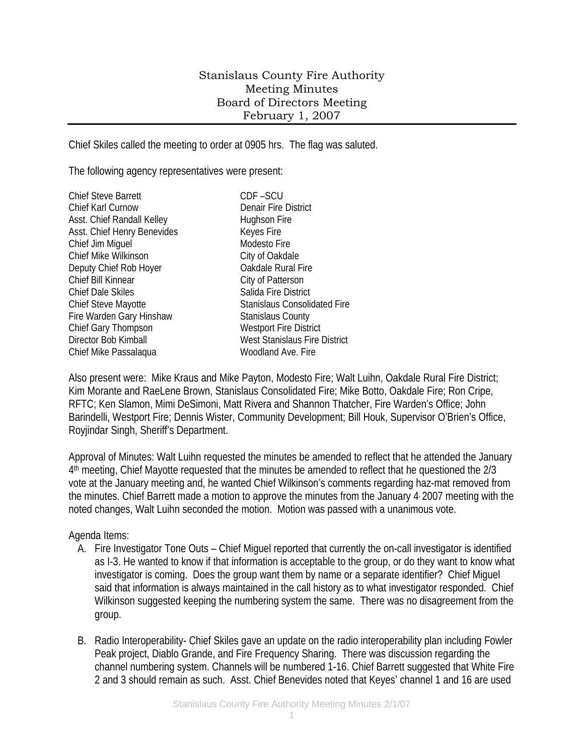# Stanislaus County Fire Authority Meeting Minutes Board of Directors Meeting February 1, 2007

Chief Skiles called the meeting to order at 0905 hrs. The flag was saluted.

The following agency representatives were present:

| <b>Chief Steve Barrett</b>  | CDF-SCU                             |
|-----------------------------|-------------------------------------|
| Chief Karl Curnow           | Denair Fire District                |
| Asst. Chief Randall Kelley  | Hughson Fire                        |
| Asst. Chief Henry Benevides | Keyes Fire                          |
| Chief Jim Miguel            | Modesto Fire                        |
| Chief Mike Wilkinson        | City of Oakdale                     |
| Deputy Chief Rob Hoyer      | Oakdale Rural Fire                  |
| Chief Bill Kinnear          | City of Patterson                   |
| <b>Chief Dale Skiles</b>    | Salida Fire District                |
| Chief Steve Mayotte         | <b>Stanislaus Consolidated Fire</b> |
| Fire Warden Gary Hinshaw    | <b>Stanislaus County</b>            |
| Chief Gary Thompson         | <b>Westport Fire District</b>       |
| Director Bob Kimball        | West Stanislaus Fire District       |
| Chief Mike Passalaqua       | Woodland Ave. Fire                  |
|                             |                                     |

Also present were: Mike Kraus and Mike Payton, Modesto Fire; Walt Luihn, Oakdale Rural Fire District; Kim Morante and RaeLene Brown, Stanislaus Consolidated Fire; Mike Botto, Oakdale Fire; Ron Cripe, RFTC; Ken Slamon, Mimi DeSimoni, Matt Rivera and Shannon Thatcher, Fire Warden's Office; John Barindelli, Westport Fire; Dennis Wister, Community Development; Bill Houk, Supervisor O'Brien's Office, Royjindar Singh, Sheriff's Department.

Approval of Minutes: Walt Luihn requested the minutes be amended to reflect that he attended the January 4th meeting, Chief Mayotte requested that the minutes be amended to reflect that he questioned the 2/3 vote at the January meeting and, he wanted Chief Wilkinson's comments regarding haz-mat removed from the minutes. Chief Barrett made a motion to approve the minutes from the January 4, 2007 meeting with the noted changes, Walt Luihn seconded the motion. Motion was passed with a unanimous vote.

### Agenda Items:

- A. Fire Investigator Tone Outs Chief Miguel reported that currently the on-call investigator is identified as I-3. He wanted to know if that information is acceptable to the group, or do they want to know what investigator is coming. Does the group want them by name or a separate identifier? Chief Miguel said that information is always maintained in the call history as to what investigator responded. Chief Wilkinson suggested keeping the numbering system the same. There was no disagreement from the group.
- B. Radio Interoperability- Chief Skiles gave an update on the radio interoperability plan including Fowler Peak project, Diablo Grande, and Fire Frequency Sharing. There was discussion regarding the channel numbering system. Channels will be numbered 1-16. Chief Barrett suggested that White Fire 2 and 3 should remain as such. Asst. Chief Benevides noted that Keyes' channel 1 and 16 are used

1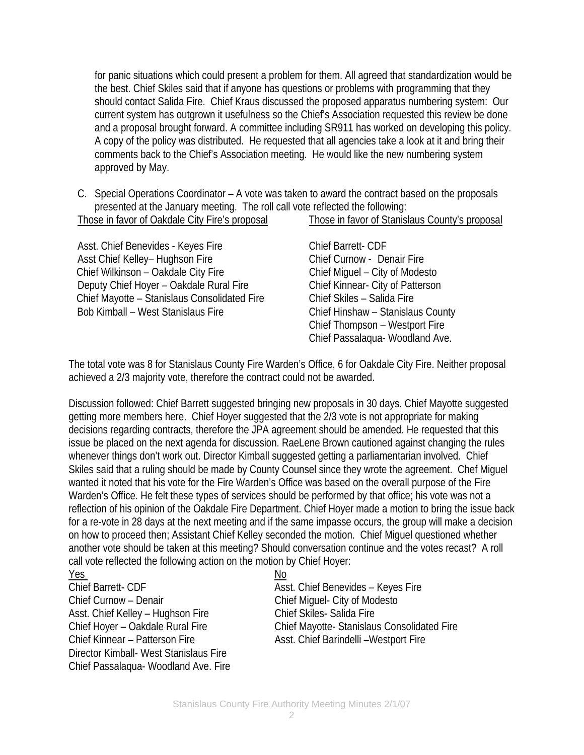for panic situations which could present a problem for them. All agreed that standardization would be the best. Chief Skiles said that if anyone has questions or problems with programming that they should contact Salida Fire. Chief Kraus discussed the proposed apparatus numbering system: Our current system has outgrown it usefulness so the Chief's Association requested this review be done and a proposal brought forward. A committee including SR911 has worked on developing this policy. A copy of the policy was distributed. He requested that all agencies take a look at it and bring their comments back to the Chief's Association meeting. He would like the new numbering system approved by May.

C. Special Operations Coordinator – A vote was taken to award the contract based on the proposals presented at the January meeting. The roll call vote reflected the following: Those in favor of Oakdale City Fire's proposal Those in favor of Stanislaus County's proposal

Asst. Chief Benevides - Keyes Fire Chief Barrett- CDF Asst Chief Kelley– Hughson Fire Chief Curnow - Denair Fire Chief Wilkinson – Oakdale City Fire Chief Miguel – City of Modesto Deputy Chief Hoyer – Oakdale Rural Fire Chief Kinnear- City of Patterson Chief Mayotte – Stanislaus Consolidated Fire Chief Skiles – Salida Fire Bob Kimball – West Stanislaus Fire Chief Hinshaw – Stanislaus County

 Chief Thompson – Westport Fire Chief Passalaqua- Woodland Ave.

The total vote was 8 for Stanislaus County Fire Warden's Office, 6 for Oakdale City Fire. Neither proposal achieved a 2/3 majority vote, therefore the contract could not be awarded.

Discussion followed: Chief Barrett suggested bringing new proposals in 30 days. Chief Mayotte suggested getting more members here. Chief Hoyer suggested that the 2/3 vote is not appropriate for making decisions regarding contracts, therefore the JPA agreement should be amended. He requested that this issue be placed on the next agenda for discussion. RaeLene Brown cautioned against changing the rules whenever things don't work out. Director Kimball suggested getting a parliamentarian involved. Chief Skiles said that a ruling should be made by County Counsel since they wrote the agreement. Chef Miguel wanted it noted that his vote for the Fire Warden's Office was based on the overall purpose of the Fire Warden's Office. He felt these types of services should be performed by that office; his vote was not a reflection of his opinion of the Oakdale Fire Department. Chief Hoyer made a motion to bring the issue back for a re-vote in 28 days at the next meeting and if the same impasse occurs, the group will make a decision on how to proceed then; Assistant Chief Kelley seconded the motion. Chief Miguel questioned whether another vote should be taken at this meeting? Should conversation continue and the votes recast? A roll call vote reflected the following action on the motion by Chief Hoyer:

### <u>Yes Note</u>

Chief Barrett- CDF Asst. Chief Benevides – Keyes Fire Chief Curnow – Denair Chief Miguel- City of Modesto Asst. Chief Kelley - Hughson Fire Chief Skiles- Salida Fire Chief Kinnear – Patterson Fire Asst. Chief Barindelli – Westport Fire Director Kimball- West Stanislaus Fire Chief Passalaqua- Woodland Ave. Fire

Chief Hoyer – Oakdale Rural Fire Chief Mayotte- Stanislaus Consolidated Fire